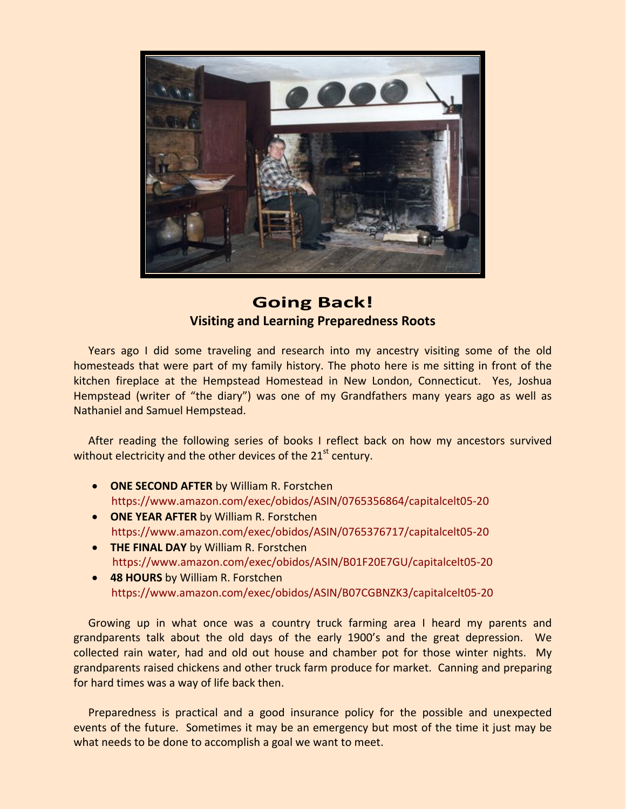

## **Going Back! Visiting and Learning Preparedness Roots**

Years ago I did some traveling and research into my ancestry visiting some of the old homesteads that were part of my family history. The photo here is me sitting in front of the kitchen fireplace at the Hempstead Homestead in New London, Connecticut. Yes, Joshua Hempstead (writer of "the diary") was one of my Grandfathers many years ago as well as Nathaniel and Samuel Hempstead.

After reading the following series of books I reflect back on how my ancestors survived without electricity and the other devices of the  $21<sup>st</sup>$  century.

- **ONE SECOND AFTER** by William R. Forstchen [https://www.amazon.com/exec/obidos/ASIN/0765356864/capitalcelt05](https://www.amazon.com/exec/obidos/ASIN/0765356864/capitalcelt05-20)‐20
- **ONE YEAR AFTER** by William R. Forstchen [https://www.amazon.com/exec/obidos/ASIN/0765376717/capitalcelt05](https://www.amazon.com/exec/obidos/ASIN/0765376717/capitalcelt05-20)‐20
- **THE FINAL DAY** by William R. Forstchen [https://www.amazon.com/exec/obidos/ASIN/B01F20E7GU/capitalcelt05](https://www.amazon.com/exec/obidos/ASIN/B01F20E7GU/capitalcelt05-20)‐20
- **48 HOURS** by William R. Forstchen [https://www.amazon.com/exec/obidos/ASIN/B07CGBNZK3/capitalcelt05](https://www.amazon.com/exec/obidos/ASIN/B07CGBNZK3/capitalcelt05-20)‐20

Growing up in what once was a country truck farming area I heard my parents and grandparents talk about the old days of the early 1900's and the great depression. We collected rain water, had and old out house and chamber pot for those winter nights. My grandparents raised chickens and other truck farm produce for market. Canning and preparing for hard times was a way of life back then.

Preparedness is practical and a good insurance policy for the possible and unexpected events of the future. Sometimes it may be an emergency but most of the time it just may be what needs to be done to accomplish a goal we want to meet.